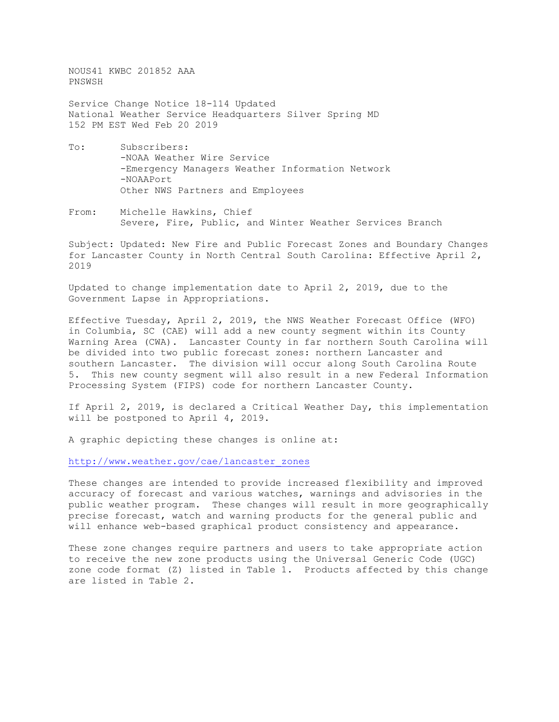NOUS41 KWBC 201852 AAA PNSWSH

Service Change Notice 18-114 Updated National Weather Service Headquarters Silver Spring MD 152 PM EST Wed Feb 20 2019

- To: Subscribers: -NOAA Weather Wire Service -Emergency Managers Weather Information Network -NOAAPort Other NWS Partners and Employees
- From: Michelle Hawkins, Chief Severe, Fire, Public, and Winter Weather Services Branch

Subject: Updated: New Fire and Public Forecast Zones and Boundary Changes for Lancaster County in North Central South Carolina: Effective April 2, 2019

Updated to change implementation date to April 2, 2019, due to the Government Lapse in Appropriations.

Effective Tuesday, April 2, 2019, the NWS Weather Forecast Office (WFO) in Columbia, SC (CAE) will add a new county segment within its County Warning Area (CWA). Lancaster County in far northern South Carolina will be divided into two public forecast zones: northern Lancaster and southern Lancaster. The division will occur along South Carolina Route 5. This new county segment will also result in a new Federal Information Processing System (FIPS) code for northern Lancaster County.

If April 2, 2019, is declared a Critical Weather Day, this implementation will be postponed to April 4, 2019.

A graphic depicting these changes is online at:

[http://www.weather.gov/cae/lancaster\\_zones](http://www.weather.gov/cae/lancaster_zones)

These changes are intended to provide increased flexibility and improved accuracy of forecast and various watches, warnings and advisories in the public weather program. These changes will result in more geographically precise forecast, watch and warning products for the general public and will enhance web-based graphical product consistency and appearance.

These zone changes require partners and users to take appropriate action to receive the new zone products using the Universal Generic Code (UGC) zone code format (Z) listed in Table 1. Products affected by this change are listed in Table 2.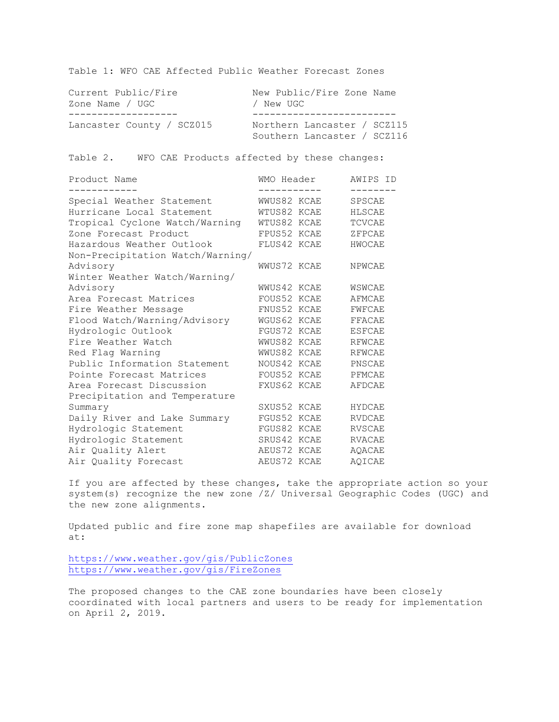Table 1: WFO CAE Affected Public Weather Forecast Zones

| Current Public/Fire       | New Public/Fire Zone Name                                  |
|---------------------------|------------------------------------------------------------|
| Zone Name / UGC           | / New UGC                                                  |
| Lancaster County / SCZ015 | Northern Lancaster / SCZ115<br>Southern Lancaster / SCZ116 |

Table 2. WFO CAE Products affected by these changes:

| Product Name                     | WMO Header  |             | AWIPS ID<br>-------- |
|----------------------------------|-------------|-------------|----------------------|
| Special Weather Statement        | WWUS82 KCAE |             | SPSCAE               |
| Hurricane Local Statement        | WTUS82 KCAE |             | HLSCAE               |
| Tropical Cyclone Watch/Warning   | WTUS82 KCAE |             | <b>TCVCAE</b>        |
| Zone Forecast Product            | FPUS52 KCAE |             | ZFPCAE               |
| Hazardous Weather Outlook        | FLUS42 KCAE |             | HWOCAE               |
| Non-Precipitation Watch/Warning/ |             |             |                      |
| Advisory                         | WWUS72 KCAE |             | NPWCAE               |
| Winter Weather Watch/Warning/    |             |             |                      |
| Advisory                         | WWUS42 KCAE |             | WSWCAE               |
| Area Forecast Matrices           | FOUS52 KCAE |             | AFMCAE               |
| Fire Weather Message             | FNUS52 KCAE |             | FWFCAE               |
| Flood Watch/Warning/Advisory     | WGUS62 KCAE |             | FFACAE               |
| Hydrologic Outlook               | FGUS72 KCAE |             | <b>ESFCAE</b>        |
| Fire Weather Watch               |             | WWUS82 KCAE | <b>RFWCAE</b>        |
| Red Flag Warning                 | WWUS82 KCAE |             | <b>RFWCAE</b>        |
| Public Information Statement     | NOUS42 KCAE |             | PNSCAE               |
| Pointe Forecast Matrices         | FOUS52 KCAE |             | PFMCAE               |
| Area Forecast Discussion         | FXUS62 KCAE |             | <b>AFDCAE</b>        |
| Precipitation and Temperature    |             |             |                      |
| Summary                          | SXUS52 KCAE |             | <b>HYDCAE</b>        |
| Daily River and Lake Summary     | FGUS52 KCAE |             | <b>RVDCAE</b>        |
| Hydrologic Statement             | FGUS82 KCAE |             | <b>RVSCAE</b>        |
| Hydrologic Statement             | SRUS42 KCAE |             | <b>RVACAE</b>        |
| Air Quality Alert                | AEUS72 KCAE |             | AQACAE               |
| Air Quality Forecast             | AEUS72 KCAE |             | AOICAE               |

If you are affected by these changes, take the appropriate action so your system(s) recognize the new zone /Z/ Universal Geographic Codes (UGC) and the new zone alignments.

Updated public and fire zone map shapefiles are available for download at:

<https://www.weather.gov/gis/PublicZones> <https://www.weather.gov/gis/FireZones>

The proposed changes to the CAE zone boundaries have been closely coordinated with local partners and users to be ready for implementation on April 2, 2019.